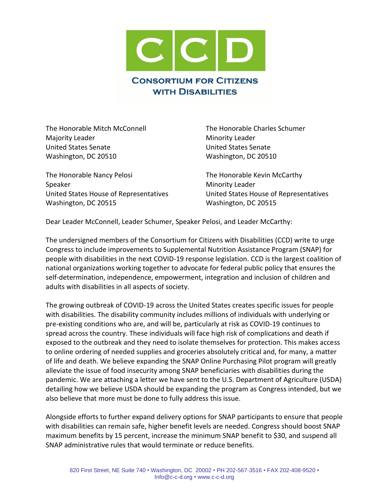

The Honorable Mitch McConnell The Honorable Charles Schumer Majority Leader **Minority Leader** Minority Leader United States Senate United States Senate Washington, DC 20510 Washington, DC 20510

The Honorable Nancy Pelosi The Honorable Kevin McCarthy Speaker Minority Leader United States House of Representatives United States House of Representatives Washington, DC 20515 Washington, DC 20515

Dear Leader McConnell, Leader Schumer, Speaker Pelosi, and Leader McCarthy:

The undersigned members of the Consortium for Citizens with Disabilities (CCD) write to urge Congress to include improvements to Supplemental Nutrition Assistance Program (SNAP) for people with disabilities in the next COVID-19 response legislation. CCD is the largest coalition of national organizations working together to advocate for federal public policy that ensures the self-determination, independence, empowerment, integration and inclusion of children and adults with disabilities in all aspects of society.

The growing outbreak of COVID-19 across the United States creates specific issues for people with disabilities. The disability community includes millions of individuals with underlying or pre-existing conditions who are, and will be, particularly at risk as COVID-19 continues to spread across the country. These individuals will face high risk of complications and death if exposed to the outbreak and they need to isolate themselves for protection. This makes access to online ordering of needed supplies and groceries absolutely critical and, for many, a matter of life and death. We believe expanding the SNAP Online Purchasing Pilot program will greatly alleviate the issue of food insecurity among SNAP beneficiaries with disabilities during the pandemic. We are attaching a letter we have sent to the U.S. Department of Agriculture (USDA) detailing how we believe USDA should be expanding the program as Congress intended, but we also believe that more must be done to fully address this issue.

Alongside efforts to further expand delivery options for SNAP participants to ensure that people with disabilities can remain safe, higher benefit levels are needed. Congress should boost SNAP maximum benefits by 15 percent, increase the minimum SNAP benefit to \$30, and suspend all SNAP administrative rules that would terminate or reduce benefits.